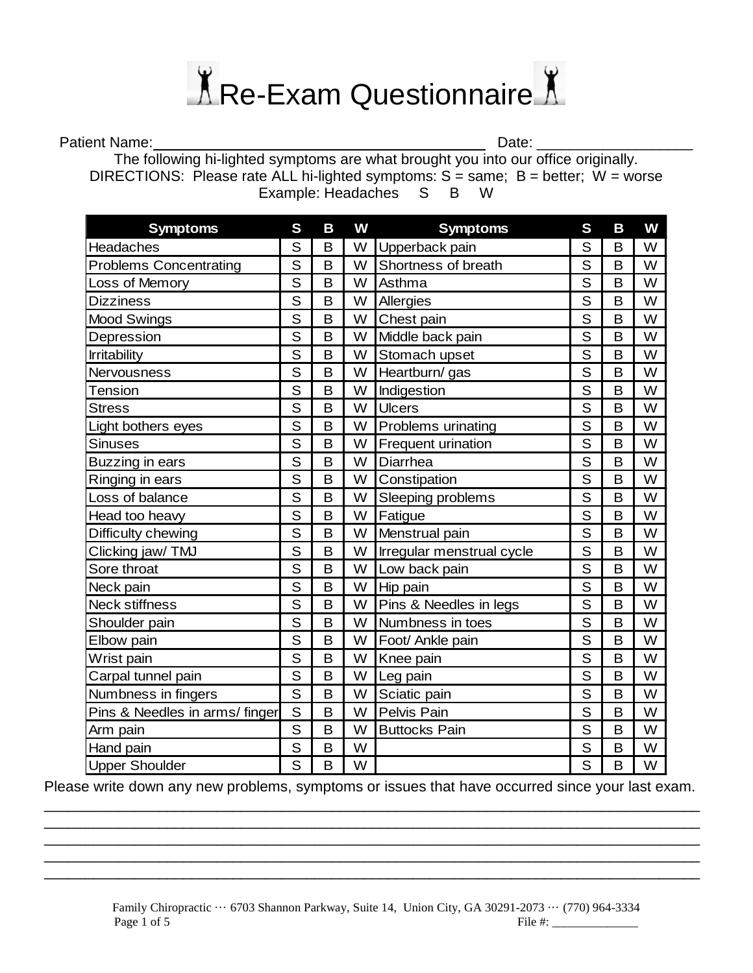

Patient Name: \_\_\_\_\_\_\_\_\_\_\_\_\_\_\_\_\_\_\_\_\_\_\_\_\_\_\_\_\_\_\_\_\_\_\_\_\_\_\_\_ Date: \_\_\_\_\_\_\_\_\_\_\_\_\_\_\_\_\_\_\_

The following hi-lighted symptoms are what brought you into our office originally. DIRECTIONS: Please rate ALL hi-lighted symptoms:  $S = same$ ;  $B = better$ ;  $W = worse$ Example: Headaches S B W

| <b>Symptoms</b>               | S                       | B | W | <b>Symptoms</b>           | S              | B | W |
|-------------------------------|-------------------------|---|---|---------------------------|----------------|---|---|
| Headaches                     | S                       | B | W | Upperback pain            | S              | B | W |
| <b>Problems Concentrating</b> | S                       | B | W | Shortness of breath       | S              | B | W |
| Loss of Memory                | S                       | B | W | Asthma                    | S              | B | W |
| <b>Dizziness</b>              | S                       | B | W | Allergies                 | S              | B | W |
| <b>Mood Swings</b>            | S                       | B | W | Chest pain                | S              | B | W |
| Depression                    | S                       | B | W | Middle back pain          | S              | B | W |
| <b>Irritability</b>           | S                       | B | W | Stomach upset             | S              | B | W |
| Nervousness                   | S                       | B | W | Heartburn/ gas            | S              | B | W |
| <b>Tension</b>                | S                       | B | W | Indigestion               | S              | B | W |
| <b>Stress</b>                 | S                       | B | W | <b>Ulcers</b>             | S              | B | W |
| Light bothers eyes            | S                       | B | W | Problems urinating        | S              | B | W |
| <b>Sinuses</b>                | S                       | B | W | Frequent urination        | S              | B | W |
| Buzzing in ears               | S                       | B | W | Diarrhea                  | S              | B | W |
| Ringing in ears               | S                       | B | W | Constipation              | S              | B | W |
| Loss of balance               | S                       | B | W | Sleeping problems         | S              | B | W |
| Head too heavy                | S                       | B | W | Fatigue                   | S              | B | W |
| Difficulty chewing            | S                       | B | W | Menstrual pain            | S              | B | W |
| Clicking jaw/TMJ              | S                       | B | W | Irregular menstrual cycle | S              | B | W |
| Sore throat                   | $\overline{\mathsf{s}}$ | B | W | Low back pain             | $\overline{S}$ | B | W |
| Neck pain                     | S                       | B | W | Hip pain                  | S              | B | W |
| <b>Neck stiffness</b>         | S                       | B | W | Pins & Needles in legs    | $\overline{S}$ | B | W |
| Shoulder pain                 | S                       | B | W | Numbness in toes          | S              | B | W |
| Elbow pain                    | S                       | B | W | Foot/ Ankle pain          | S              | B | W |
| Wrist pain                    | S                       | B | W | Knee pain                 | S              | B | W |
| Carpal tunnel pain            | S                       | B | W | Leg pain                  | S              | B | W |
| Numbness in fingers           | S                       | B | W | Sciatic pain              | S              | B | W |
| Pins & Needles in arms/finger | S                       | B | W | Pelvis Pain               | S              | B | W |
| Arm pain                      | S                       | B | W | <b>Buttocks Pain</b>      | S              | B | W |
| Hand pain                     | S                       | B | W |                           | S              | B | W |
| <b>Upper Shoulder</b>         | S                       | B | W |                           | S              | B | W |

Please write down any new problems, symptoms or issues that have occurred since your last exam. \_\_\_\_\_\_\_\_\_\_\_\_\_\_\_\_\_\_\_\_\_\_\_\_\_\_\_\_\_\_\_\_\_\_\_\_\_\_\_\_\_\_\_\_\_\_\_\_\_\_\_\_\_\_\_\_\_\_\_\_\_\_\_\_\_\_\_\_\_\_\_\_\_\_\_\_\_\_\_\_

\_\_\_\_\_\_\_\_\_\_\_\_\_\_\_\_\_\_\_\_\_\_\_\_\_\_\_\_\_\_\_\_\_\_\_\_\_\_\_\_\_\_\_\_\_\_\_\_\_\_\_\_\_\_\_\_\_\_\_\_\_\_\_\_\_\_\_\_\_\_\_\_\_\_\_\_\_\_\_\_ \_\_\_\_\_\_\_\_\_\_\_\_\_\_\_\_\_\_\_\_\_\_\_\_\_\_\_\_\_\_\_\_\_\_\_\_\_\_\_\_\_\_\_\_\_\_\_\_\_\_\_\_\_\_\_\_\_\_\_\_\_\_\_\_\_\_\_\_\_\_\_\_\_\_\_\_\_\_\_\_

\_\_\_\_\_\_\_\_\_\_\_\_\_\_\_\_\_\_\_\_\_\_\_\_\_\_\_\_\_\_\_\_\_\_\_\_\_\_\_\_\_\_\_\_\_\_\_\_\_\_\_\_\_\_\_\_\_\_\_\_\_\_\_\_\_\_\_\_\_\_\_\_\_\_\_\_\_\_\_\_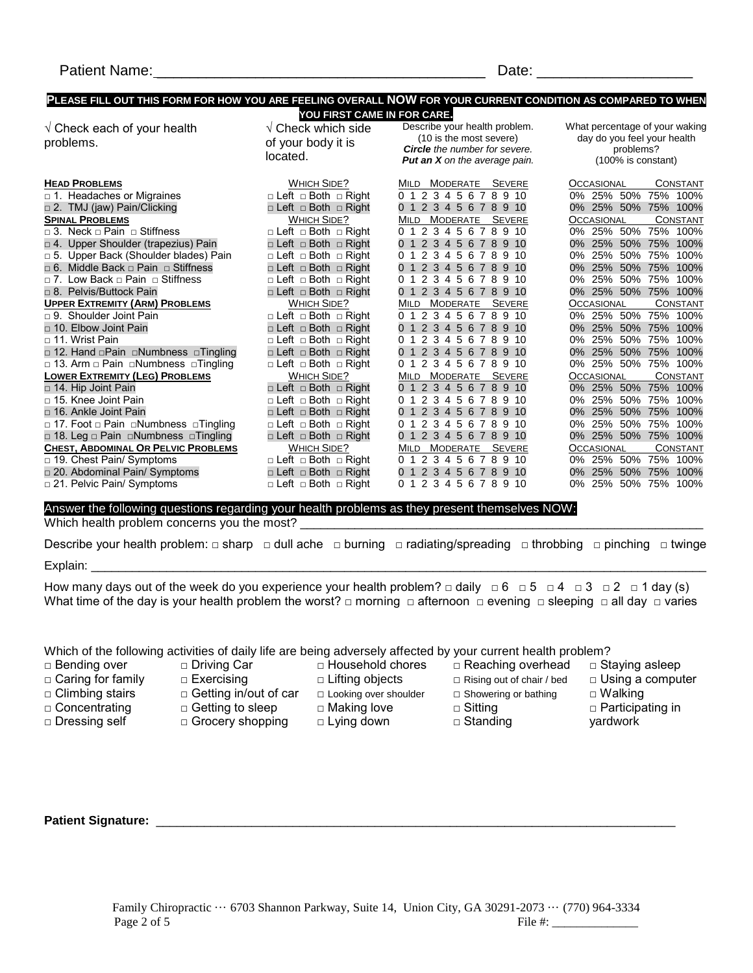#### **PLEASE FILL OUT THIS FORM FOR HOW YOU ARE FEELING OVERALL NOW FOR YOUR CURRENT CONDITION AS COMPARED TO WHEN YOU FIRST CAME IN FOR CARE.**

 $\sqrt{\text{Check which side}}$ of your body it is

 $\sqrt{\,}$  Check each of your health problems.

Describe your health problem. (10 is the most severe) *Circle the number for severe.*

What percentage of your waking day do you feel your health problems? (100% is constant)

|                                             | located.                             | <b>Charle</b> the Humber for severe.<br><b>Put an X</b> on the average pain. | proplems :<br>$(100\%$ is constant) |                  |
|---------------------------------------------|--------------------------------------|------------------------------------------------------------------------------|-------------------------------------|------------------|
| <b>HEAD PROBLEMS</b>                        | WHICH SIDE?                          | MILD MODERATE SEVERE                                                         | <b>OCCASIONAL</b>                   | <b>CONSTANT</b>  |
| $\Box$ 1. Headaches or Migraines            | □ Left □ Both □ Right                | 0 1 2 3 4 5 6 7 8 9 10                                                       | 0% 25% 50%                          | 75% 100%         |
| □ 2. TMJ (jaw) Pain/Clicking                | □ Left □ Both □ Right                | 0 1 2 3 4 5 6 7 8 9 10                                                       | 0% 25% 50% 75% 100%                 |                  |
| <b>SPINAL PROBLEMS</b>                      | WHICH SIDE?                          | MILD MODERATE SEVERE                                                         | <b>OCCASIONAL</b>                   | <b>CONSTANT</b>  |
| $\Box$ 3. Neck $\Box$ Pain $\Box$ Stiffness | $\Box$ Left $\Box$ Both $\Box$ Right | 0 1 2 3 4 5 6 7 8 9 10                                                       | 0% 25% 50%                          | 75%<br>100%      |
| □ 4. Upper Shoulder (trapezius) Pain        | □ Left □ Both □ Right                | 0 1 2 3 4 5 6 7 8 9 10                                                       | 25% 50% 75%<br>$0\%$                | 100%             |
| □ 5. Upper Back (Shoulder blades) Pain      | $\Box$ Left $\Box$ Both $\Box$ Right | 0 1 2 3 4 5 6 7 8 9 10                                                       | 25% 50% 75%<br>$0\%$                | 100%             |
| □ 6. Middle Back □ Pain □ Stiffness         | □ Left □ Both □ Right                | 0 1 2 3 4 5 6 7 8 9 10                                                       | 25% 50%<br>$0\%$                    | 75%<br>100%      |
| □ 7. Low Back □ Pain □ Stiffness            | □ Left □ Both □ Right                | 0 1 2 3 4 5 6 7 8 9 10                                                       | 25% 50%<br>$0\%$                    | 75%<br>100%      |
| □ 8. Pelvis/Buttock Pain                    | □ Left □ Both □ Right                | 0 1 2 3 4 5 6 7 8 9 10                                                       | 0% 25% 50% 75% 100%                 |                  |
| <b>UPPER EXTREMITY (ARM) PROBLEMS</b>       | WHICH SIDE?                          | MILD MODERATE<br><b>SEVERE</b>                                               | OCCASIONAL                          | <b>CONSTANT</b>  |
| $\Box$ 9. Shoulder Joint Pain               | $\Box$ Left $\Box$ Both $\Box$ Right | 0 1 2 3 4 5 6 7 8 9 10                                                       | 0% 25% 50%                          | 75%<br>100%      |
| □ 10. Elbow Joint Pain                      | □ Left □ Both □ Right                | 0 1 2 3 4 5 6 7 8 9 10                                                       | 25% 50% 75%<br>$0\%$                | 100%             |
| □ 11. Wrist Pain                            | $\Box$ Left $\Box$ Both $\Box$ Right | 0 1 2 3 4 5 6 7 8 9 10                                                       | 25%<br>50%<br>0%                    | 75%<br>100%      |
| □ 12. Hand □ Pain □ Numbness □ Tingling     | □ Left □ Both □ Right                | 0 1 2 3 4 5 6 7 8 9 10                                                       | 25% 50% 75%<br>$0\%$                | 100%             |
| □ 13. Arm □ Pain □ Numbness □ Tingling      | $\Box$ Left $\Box$ Both $\Box$ Right | 2 3 4 5 6 7 8 9 10<br>0 <sub>1</sub>                                         | 25% 50%<br>በ%                       | 75% 100%         |
| <b>LOWER EXTREMITY (LEG) PROBLEMS</b>       | WHICH SIDE?                          | MILD MODERATE SEVERE                                                         | <b>OCCASIONAL</b>                   | CONSTANT         |
| □ 14. Hip Joint Pain                        | □ Left □ Both □ Right                | 0 1 2 3 4 5 6 7 8 9 10                                                       | 0% 25% 50%                          | 75% 100%         |
| $\Box$ 15. Knee Joint Pain                  | $\Box$ Left $\Box$ Both $\Box$ Right | 0 1 2 3 4 5 6 7 8 9 10                                                       | 25% 50%<br>0%                       | 75%<br>100%      |
| □ 16. Ankle Joint Pain                      | □ Left □ Both □ Right                | 0 1 2 3 4 5 6 7 8 9 10                                                       | 25% 50% 75%<br>$0\%$                | 100%             |
| □ 17. Foot □ Pain □Numbness □Tingling       | $\Box$ Left $\Box$ Both $\Box$ Right | 0 1 2 3 4 5 6 7 8<br>9 10                                                    | 25% 50% 75%<br>$0\%$                | 100%             |
| □ 18. Leg □ Pain □Numbness □Tingling        | □ Left □ Both □ Right                | 0 1 2 3 4 5 6 7 8 9 10                                                       | $0\%$                               | 25% 50% 75% 100% |
| <b>CHEST, ABDOMINAL OR PELVIC PROBLEMS</b>  | <b>WHICH SIDE?</b>                   | MILD MODERATE<br>SEVERE                                                      | <b>OCCASIONAL</b>                   | <b>CONSTANT</b>  |
| □ 19. Chest Pain/ Symptoms                  | $\Box$ Left $\Box$ Both $\Box$ Right | 012345678910                                                                 | 0% 25% 50%                          | 75%<br>100%      |
| □ 20. Abdominal Pain/ Symptoms              | □ Left □ Both □ Right                | 0 1 2 3 4 5 6 7 8 9 10                                                       | 25% 50% 75%<br>$0\%$                | 100%             |
| □ 21. Pelvic Pain/ Symptoms                 | $\Box$ Left $\Box$ Both $\Box$ Right | 0 1 2 3 4 5 6 7 8 9 10                                                       | 0% 25% 50% 75%                      | 100%             |

Answer the following questions regarding your health problems as they present themselves NOW:

Which health problem concerns you the most? \_\_\_\_\_\_\_\_\_\_\_\_\_\_\_\_\_\_\_\_\_\_\_\_\_\_\_\_\_\_\_\_\_\_\_\_\_\_\_\_\_\_\_\_\_\_\_\_\_\_\_\_\_\_\_\_\_\_\_

Describe your health problem: □ sharp □ dull ache □ burning □ radiating/spreading □ throbbing □ pinching □ twinge

Explain: \_\_\_\_\_\_\_\_\_\_\_\_\_\_\_\_\_\_\_\_\_\_\_\_\_\_\_\_\_\_\_\_\_\_\_\_\_\_\_\_\_\_\_\_\_\_\_\_\_\_\_\_\_\_\_\_\_\_\_\_\_\_\_\_\_\_\_\_\_\_\_\_\_\_\_\_\_\_\_\_\_\_\_\_\_\_\_\_\_\_

How many days out of the week do you experience your health problem?  $\Box$  daily  $\Box$  6  $\Box$  5  $\Box$  4  $\Box$  3  $\Box$  2  $\Box$  1 day (s) What time of the day is your health problem the worst? □ morning □ afternoon □ evening □ sleeping □ all day □ varies

#### Which of the following activities of daily life are being adversely affected by your current health problem?

□ Bending over □ Caring for family

□ Climbing stairs □ Concentrating □ Dressing self

□ Exercising

□ Driving Car

 $\square$  Getting to sleep

- $\Box$  Household chores □ Lifting objects
- □ Getting in/out of car □ Looking over shoulder
	- □ Making love
- □ Grocery shopping
	- □ Lying down
- □ Reaching overhead
- □ Rising out of chair / bed □ Showering or bathing
- □ Sitting
- □ Standing
- □ Staying asleep □ Using a computer
- □ Walking
- 
- □ Participating in yardwork

**Patient Signature:** \_\_\_\_\_\_\_\_\_\_\_\_\_\_\_\_\_\_\_\_\_\_\_\_\_\_\_\_\_\_\_\_\_\_\_\_\_\_\_\_\_\_\_\_\_\_\_\_\_\_\_\_\_\_\_\_\_\_\_\_\_\_\_\_\_\_\_\_\_\_\_\_\_\_\_\_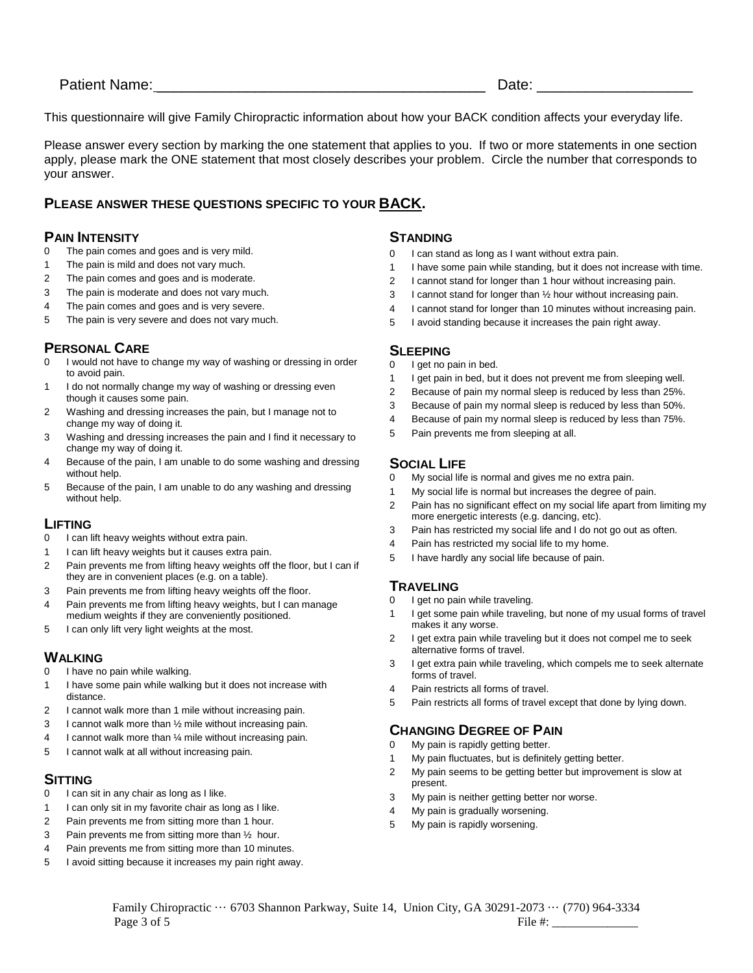This questionnaire will give Family Chiropractic information about how your BACK condition affects your everyday life.

Please answer every section by marking the one statement that applies to you. If two or more statements in one section apply, please mark the ONE statement that most closely describes your problem. Circle the number that corresponds to your answer.

## **PLEASE ANSWER THESE QUESTIONS SPECIFIC TO YOUR BACK.**

# **PAIN INTENSITY**<br>0 The pain comes a

- The pain comes and goes and is very mild.
- 1 The pain is mild and does not vary much.
- 2 The pain comes and goes and is moderate.
- 3 The pain is moderate and does not vary much.
- 4 The pain comes and goes and is very severe.
- 5 The pain is very severe and does not vary much.

## **PERSONAL CARE**

- 0 I would not have to change my way of washing or dressing in order to avoid pain.
- 1 I do not normally change my way of washing or dressing even though it causes some pain.
- 2 Washing and dressing increases the pain, but I manage not to change my way of doing it.
- 3 Washing and dressing increases the pain and I find it necessary to change my way of doing it.
- 4 Because of the pain, I am unable to do some washing and dressing without help.
- 5 Because of the pain, I am unable to do any washing and dressing without help.

#### **LIFTING**

- 0 I can lift heavy weights without extra pain.
- 1 I can lift heavy weights but it causes extra pain.
- 2 Pain prevents me from lifting heavy weights off the floor, but I can if they are in convenient places (e.g. on a table).
- 3 Pain prevents me from lifting heavy weights off the floor.
- 4 Pain prevents me from lifting heavy weights, but I can manage medium weights if they are conveniently positioned.
- 5 I can only lift very light weights at the most.

## **WALKING**

- 0 I have no pain while walking.
- 1 I have some pain while walking but it does not increase with distance.
- 2 I cannot walk more than 1 mile without increasing pain.
- 3 I cannot walk more than ½ mile without increasing pain.
- 4 I cannot walk more than ¼ mile without increasing pain.
- 5 I cannot walk at all without increasing pain.

## **SITTING**

- 0 I can sit in any chair as long as I like.
- 1 I can only sit in my favorite chair as long as I like.
- 2 Pain prevents me from sitting more than 1 hour.
- 3 Pain prevents me from sitting more than  $\frac{1}{2}$  hour.
- 4 Pain prevents me from sitting more than 10 minutes.
- 5 I avoid sitting because it increases my pain right away.

#### **STANDING**

- 0 I can stand as long as I want without extra pain.
- 1 I have some pain while standing, but it does not increase with time.
- 2 I cannot stand for longer than 1 hour without increasing pain.
- 3 I cannot stand for longer than ½ hour without increasing pain.
- 4 I cannot stand for longer than 10 minutes without increasing pain.
- 5 I avoid standing because it increases the pain right away.

#### **SLEEPING**

- 0 I get no pain in bed.
- 1 I get pain in bed, but it does not prevent me from sleeping well.
- 2 Because of pain my normal sleep is reduced by less than 25%.
- 3 Because of pain my normal sleep is reduced by less than 50%.
- 4 Because of pain my normal sleep is reduced by less than 75%.
- 5 Pain prevents me from sleeping at all.

## **SOCIAL LIFE**

- 0 My social life is normal and gives me no extra pain.
- 1 My social life is normal but increases the degree of pain.
- 2 Pain has no significant effect on my social life apart from limiting my more energetic interests (e.g. dancing, etc).
- 3 Pain has restricted my social life and I do not go out as often.
- 4 Pain has restricted my social life to my home.
- 5 I have hardly any social life because of pain.

## **TRAVELING**

- 0 I get no pain while traveling.
- 1 I get some pain while traveling, but none of my usual forms of travel makes it any worse.
- 2 I get extra pain while traveling but it does not compel me to seek alternative forms of travel.
- 3 I get extra pain while traveling, which compels me to seek alternate forms of travel.
- 4 Pain restricts all forms of travel.
- 5 Pain restricts all forms of travel except that done by lying down.

# **CHANGING DEGREE OF PAIN**<br>0. My pain is rapidly getting better

- My pain is rapidly getting better.
- 1 My pain fluctuates, but is definitely getting better.
- 2 My pain seems to be getting better but improvement is slow at present.
- 3 My pain is neither getting better nor worse.
- 4 My pain is gradually worsening.
- 5 My pain is rapidly worsening.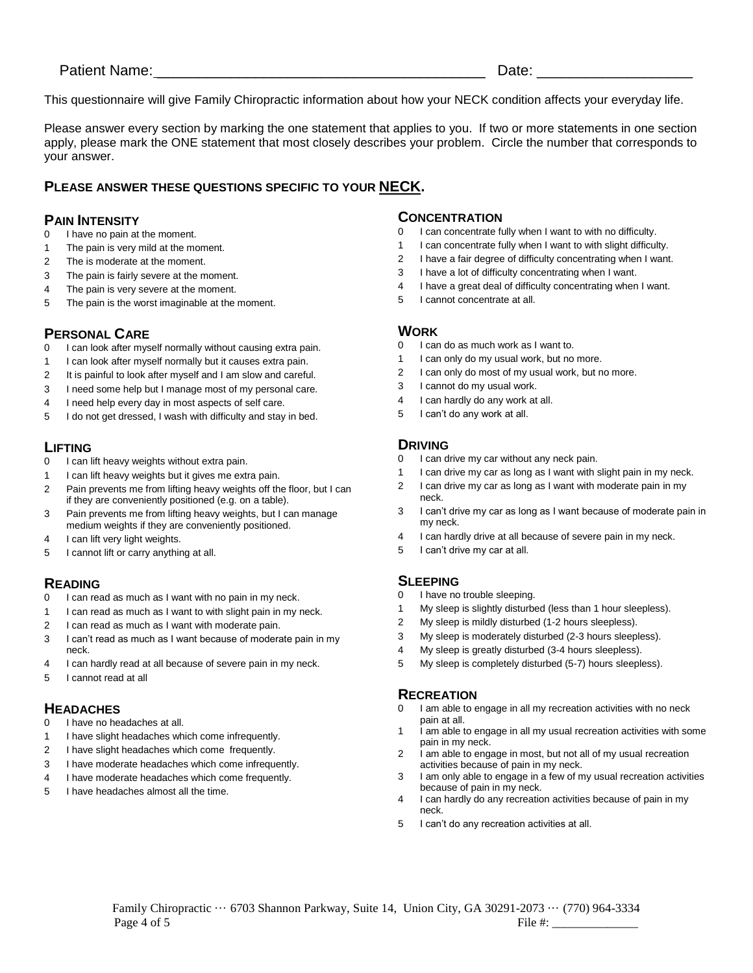This questionnaire will give Family Chiropractic information about how your NECK condition affects your everyday life.

Please answer every section by marking the one statement that applies to you. If two or more statements in one section apply, please mark the ONE statement that most closely describes your problem. Circle the number that corresponds to your answer.

## **PLEASE ANSWER THESE QUESTIONS SPECIFIC TO YOUR NECK.**

#### **PAIN INTENSITY**

- I have no pain at the moment.
- The pain is very mild at the moment.
- The is moderate at the moment.
- The pain is fairly severe at the moment.
- The pain is very severe at the moment.
- The pain is the worst imaginable at the moment.

## **PERSONAL CARE**

- I can look after myself normally without causing extra pain.
- I can look after myself normally but it causes extra pain.
- It is painful to look after myself and I am slow and careful.
- I need some help but I manage most of my personal care.
- I need help every day in most aspects of self care.
- I do not get dressed, I wash with difficulty and stay in bed.

# **LIFTING**<br>0 lcanl

- I can lift heavy weights without extra pain.
- I can lift heavy weights but it gives me extra pain.
- Pain prevents me from lifting heavy weights off the floor, but I can if they are conveniently positioned (e.g. on a table).
- Pain prevents me from lifting heavy weights, but I can manage medium weights if they are conveniently positioned.
- I can lift very light weights.
- I cannot lift or carry anything at all.

## **READING**

- I can read as much as I want with no pain in my neck.
- I can read as much as I want to with slight pain in my neck.
- I can read as much as I want with moderate pain.
- I can't read as much as I want because of moderate pain in my neck.
- I can hardly read at all because of severe pain in my neck.
- I cannot read at all

## **HEADACHES**

- I have no headaches at all.
- I have slight headaches which come infrequently.
- I have slight headaches which come frequently.
- I have moderate headaches which come infrequently.
- I have moderate headaches which come frequently.
- I have headaches almost all the time.

#### **CONCENTRATION**

- I can concentrate fully when I want to with no difficulty.
- I can concentrate fully when I want to with slight difficulty.
- I have a fair degree of difficulty concentrating when I want.
- I have a lot of difficulty concentrating when I want.
- I have a great deal of difficulty concentrating when I want.
- I cannot concentrate at all.

## **WORK**

- I can do as much work as I want to.
- 1 I can only do my usual work, but no more.
- I can only do most of my usual work, but no more.
- I cannot do my usual work.
- I can hardly do any work at all.
- I can't do any work at all.

## **DRIVING**

- I can drive my car without any neck pain.
- I can drive my car as long as I want with slight pain in my neck.
- I can drive my car as long as I want with moderate pain in my neck.
- I can't drive my car as long as I want because of moderate pain in my neck.
- I can hardly drive at all because of severe pain in my neck.
- I can't drive my car at all.

## **SLEEPING**

- 0 I have no trouble sleeping.
- My sleep is slightly disturbed (less than 1 hour sleepless).
- My sleep is mildly disturbed (1-2 hours sleepless).
- My sleep is moderately disturbed (2-3 hours sleepless).
- My sleep is greatly disturbed (3-4 hours sleepless).
- My sleep is completely disturbed (5-7) hours sleepless).

## **RECREATION**

- I am able to engage in all my recreation activities with no neck pain at all.
- 1 i am able to engage in all my usual recreation activities with some pain in my neck.
- I am able to engage in most, but not all of my usual recreation activities because of pain in my neck.
- I am only able to engage in a few of my usual recreation activities because of pain in my neck.
- I can hardly do any recreation activities because of pain in my neck.
- I can't do any recreation activities at all.